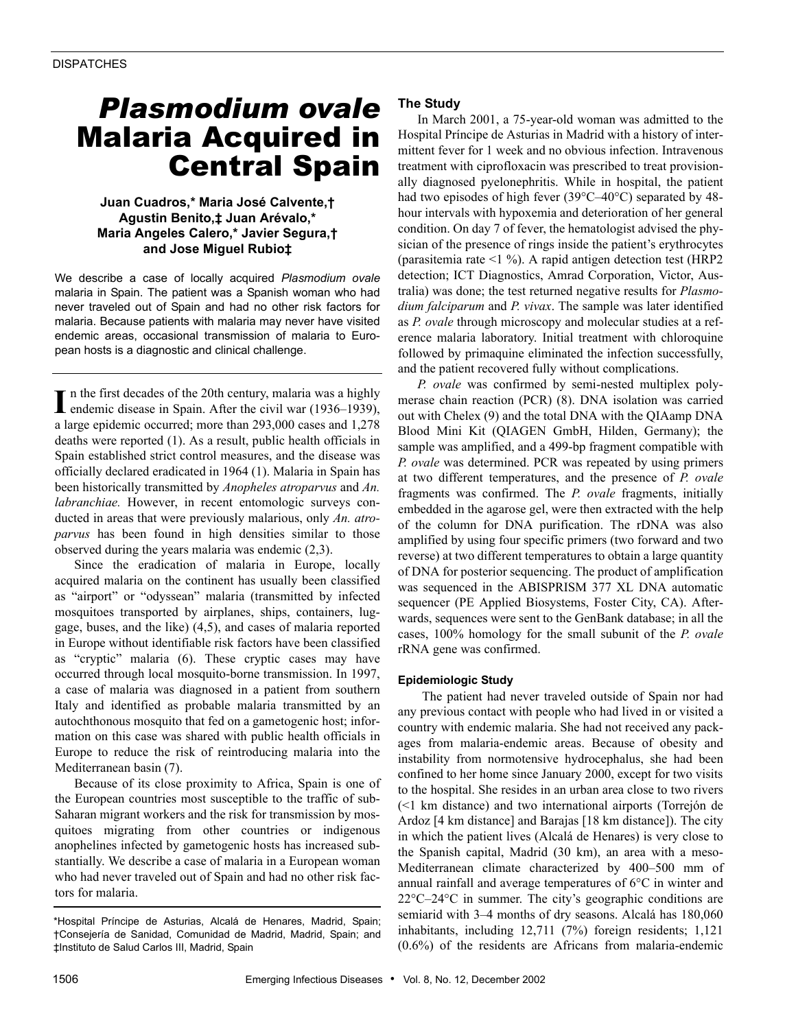# *Plasmodium ovale* Malaria Acquired in Central Spain

## **Juan Cuadros,\* Maria José Calvente,† Agustin Benito,‡ Juan Arévalo,\* Maria Angeles Calero,\* Javier Segura,† and Jose Miguel Rubio‡**

We describe a case of locally acquired *Plasmodium ovale* malaria in Spain. The patient was a Spanish woman who had never traveled out of Spain and had no other risk factors for malaria. Because patients with malaria may never have visited endemic areas, occasional transmission of malaria to European hosts is a diagnostic and clinical challenge.

n the first decades of the 20th century, malaria was a highly In the first decades of the 20th century, malaria was a highly endemic disease in Spain. After the civil war (1936–1939), a large epidemic occurred; more than 293,000 cases and 1,278 deaths were reported (1). As a result, public health officials in Spain established strict control measures, and the disease was officially declared eradicated in 1964 (1). Malaria in Spain has been historically transmitted by *Anopheles atroparvus* and *An. labranchiae.* However, in recent entomologic surveys conducted in areas that were previously malarious, only *An. atroparvus* has been found in high densities similar to those observed during the years malaria was endemic (2,3).

Since the eradication of malaria in Europe, locally acquired malaria on the continent has usually been classified as "airport" or "odyssean" malaria (transmitted by infected mosquitoes transported by airplanes, ships, containers, luggage, buses, and the like) (4,5), and cases of malaria reported in Europe without identifiable risk factors have been classified as "cryptic" malaria (6). These cryptic cases may have occurred through local mosquito-borne transmission. In 1997, a case of malaria was diagnosed in a patient from southern Italy and identified as probable malaria transmitted by an autochthonous mosquito that fed on a gametogenic host; information on this case was shared with public health officials in Europe to reduce the risk of reintroducing malaria into the Mediterranean basin (7).

Because of its close proximity to Africa, Spain is one of the European countries most susceptible to the traffic of sub-Saharan migrant workers and the risk for transmission by mosquitoes migrating from other countries or indigenous anophelines infected by gametogenic hosts has increased substantially. We describe a case of malaria in a European woman who had never traveled out of Spain and had no other risk factors for malaria.

# **The Study**

In March 2001, a 75-year-old woman was admitted to the Hospital Príncipe de Asturias in Madrid with a history of intermittent fever for 1 week and no obvious infection. Intravenous treatment with ciprofloxacin was prescribed to treat provisionally diagnosed pyelonephritis. While in hospital, the patient had two episodes of high fever (39°C–40°C) separated by 48hour intervals with hypoxemia and deterioration of her general condition. On day 7 of fever, the hematologist advised the physician of the presence of rings inside the patient's erythrocytes (parasitemia rate  $\leq$ 1 %). A rapid antigen detection test (HRP2 detection; ICT Diagnostics, Amrad Corporation, Victor, Australia) was done; the test returned negative results for *Plasmodium falciparum* and *P. vivax*. The sample was later identified as *P. ovale* through microscopy and molecular studies at a reference malaria laboratory. Initial treatment with chloroquine followed by primaquine eliminated the infection successfully, and the patient recovered fully without complications.

*P. ovale* was confirmed by semi-nested multiplex polymerase chain reaction (PCR) (8). DNA isolation was carried out with Chelex (9) and the total DNA with the QIAamp DNA Blood Mini Kit (QIAGEN GmbH, Hilden, Germany); the sample was amplified, and a 499-bp fragment compatible with *P. ovale* was determined. PCR was repeated by using primers at two different temperatures, and the presence of *P. ovale* fragments was confirmed. The *P. ovale* fragments, initially embedded in the agarose gel, were then extracted with the help of the column for DNA purification. The rDNA was also amplified by using four specific primers (two forward and two reverse) at two different temperatures to obtain a large quantity of DNA for posterior sequencing. The product of amplification was sequenced in the ABISPRISM 377 XL DNA automatic sequencer (PE Applied Biosystems, Foster City, CA). Afterwards, sequences were sent to the GenBank database; in all the cases, 100% homology for the small subunit of the *P. ovale* rRNA gene was confirmed.

## **Epidemiologic Study**

 The patient had never traveled outside of Spain nor had any previous contact with people who had lived in or visited a country with endemic malaria. She had not received any packages from malaria-endemic areas. Because of obesity and instability from normotensive hydrocephalus, she had been confined to her home since January 2000, except for two visits to the hospital. She resides in an urban area close to two rivers (<1 km distance) and two international airports (Torrejón de Ardoz [4 km distance] and Barajas [18 km distance]). The city in which the patient lives (Alcalá de Henares) is very close to the Spanish capital, Madrid (30 km), an area with a meso-Mediterranean climate characterized by 400–500 mm of annual rainfall and average temperatures of 6°C in winter and 22°C–24°C in summer. The city's geographic conditions are semiarid with 3–4 months of dry seasons. Alcalá has 180,060 inhabitants, including 12,711 (7%) foreign residents; 1,121 (0.6%) of the residents are Africans from malaria-endemic

<sup>\*</sup>Hospital Príncipe de Asturias, Alcalá de Henares, Madrid, Spain; †Consejería de Sanidad, Comunidad de Madrid, Madrid, Spain; and ‡Instituto de Salud Carlos III, Madrid, Spain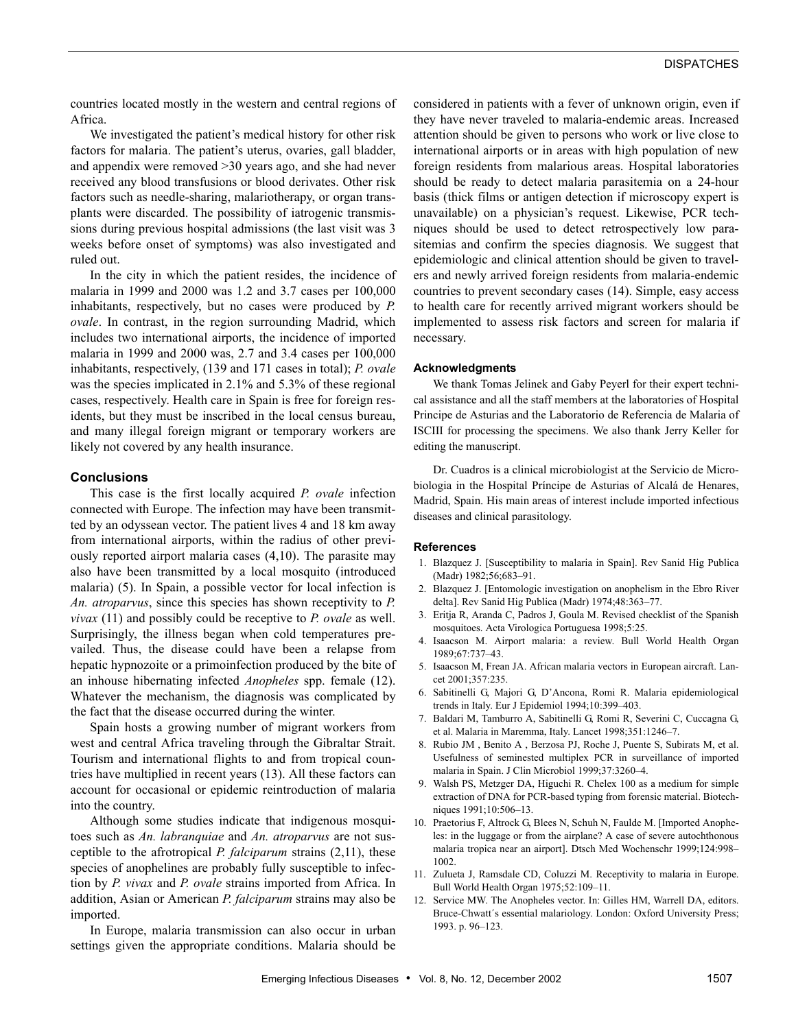countries located mostly in the western and central regions of Africa.

We investigated the patient's medical history for other risk factors for malaria. The patient's uterus, ovaries, gall bladder, and appendix were removed >30 years ago, and she had never received any blood transfusions or blood derivates. Other risk factors such as needle-sharing, malariotherapy, or organ transplants were discarded. The possibility of iatrogenic transmissions during previous hospital admissions (the last visit was 3 weeks before onset of symptoms) was also investigated and ruled out.

In the city in which the patient resides, the incidence of malaria in 1999 and 2000 was 1.2 and 3.7 cases per 100,000 inhabitants, respectively, but no cases were produced by *P. ovale*. In contrast, in the region surrounding Madrid, which includes two international airports, the incidence of imported malaria in 1999 and 2000 was, 2.7 and 3.4 cases per 100,000 inhabitants, respectively, (139 and 171 cases in total); *P. ovale* was the species implicated in 2.1% and 5.3% of these regional cases, respectively. Health care in Spain is free for foreign residents, but they must be inscribed in the local census bureau, and many illegal foreign migrant or temporary workers are likely not covered by any health insurance.

## **Conclusions**

This case is the first locally acquired *P. ovale* infection connected with Europe. The infection may have been transmitted by an odyssean vector. The patient lives 4 and 18 km away from international airports, within the radius of other previously reported airport malaria cases (4,10). The parasite may also have been transmitted by a local mosquito (introduced malaria) (5). In Spain, a possible vector for local infection is *An. atroparvus*, since this species has shown receptivity to *P. vivax* (11) and possibly could be receptive to *P. ovale* as well. Surprisingly, the illness began when cold temperatures prevailed. Thus, the disease could have been a relapse from hepatic hypnozoite or a primoinfection produced by the bite of an inhouse hibernating infected *Anopheles* spp. female (12). Whatever the mechanism, the diagnosis was complicated by the fact that the disease occurred during the winter.

Spain hosts a growing number of migrant workers from west and central Africa traveling through the Gibraltar Strait. Tourism and international flights to and from tropical countries have multiplied in recent years (13). All these factors can account for occasional or epidemic reintroduction of malaria into the country.

Although some studies indicate that indigenous mosquitoes such as *An. labranquiae* and *An. atroparvus* are not susceptible to the afrotropical *P. falciparum* strains (2,11), these species of anophelines are probably fully susceptible to infection by *P. vivax* and *P. ovale* strains imported from Africa. In addition, Asian or American *P. falciparum* strains may also be imported.

In Europe, malaria transmission can also occur in urban settings given the appropriate conditions. Malaria should be considered in patients with a fever of unknown origin, even if they have never traveled to malaria-endemic areas. Increased attention should be given to persons who work or live close to international airports or in areas with high population of new foreign residents from malarious areas. Hospital laboratories should be ready to detect malaria parasitemia on a 24-hour basis (thick films or antigen detection if microscopy expert is unavailable) on a physician's request. Likewise, PCR techniques should be used to detect retrospectively low parasitemias and confirm the species diagnosis. We suggest that epidemiologic and clinical attention should be given to travelers and newly arrived foreign residents from malaria-endemic countries to prevent secondary cases (14). Simple, easy access to health care for recently arrived migrant workers should be implemented to assess risk factors and screen for malaria if necessary.

### **Acknowledgments**

We thank Tomas Jelinek and Gaby Peyerl for their expert technical assistance and all the staff members at the laboratories of Hospital Principe de Asturias and the Laboratorio de Referencia de Malaria of ISCIII for processing the specimens. We also thank Jerry Keller for editing the manuscript.

Dr. Cuadros is a clinical microbiologist at the Servicio de Microbiologia in the Hospital Príncipe de Asturias of Alcalá de Henares, Madrid, Spain. His main areas of interest include imported infectious diseases and clinical parasitology.

#### **References**

- 1. Blazquez J. [Susceptibility to malaria in Spain]. Rev Sanid Hig Publica (Madr) 1982;56;683–91.
- 2. Blazquez J. [Entomologic investigation on anophelism in the Ebro River delta]. Rev Sanid Hig Publica (Madr) 1974;48:363–77.
- 3. Eritja R, Aranda C, Padros J, Goula M. Revised checklist of the Spanish mosquitoes. Acta Virologica Portuguesa 1998;5:25.
- 4. Isaacson M. Airport malaria: a review. Bull World Health Organ 1989;67:737–43.
- 5. Isaacson M, Frean JA. African malaria vectors in European aircraft. Lancet 2001;357:235.
- 6. Sabitinelli G, Majori G, D'Ancona, Romi R. Malaria epidemiological trends in Italy. Eur J Epidemiol 1994;10:399–403.
- 7. Baldari M, Tamburro A, Sabitinelli G, Romi R, Severini C, Cuccagna G, et al. Malaria in Maremma, Italy. Lancet 1998;351:1246–7.
- 8. Rubio JM , Benito A , Berzosa PJ, Roche J, Puente S, Subirats M, et al. Usefulness of seminested multiplex PCR in surveillance of imported malaria in Spain. J Clin Microbiol 1999;37:3260–4.
- 9. Walsh PS, Metzger DA, Higuchi R. Chelex 100 as a medium for simple extraction of DNA for PCR-based typing from forensic material. Biotechniques 1991;10:506–13.
- 10. Praetorius F, Altrock G, Blees N, Schuh N, Faulde M. [Imported Anopheles: in the luggage or from the airplane? A case of severe autochthonous malaria tropica near an airport]. Dtsch Med Wochenschr 1999;124:998– 1002.
- 11. Zulueta J, Ramsdale CD, Coluzzi M. Receptivity to malaria in Europe. Bull World Health Organ 1975;52:109–11.
- 12. Service MW. The Anopheles vector. In: Gilles HM, Warrell DA, editors. Bruce-Chwatt´s essential malariology. London: Oxford University Press; 1993. p. 96–123.